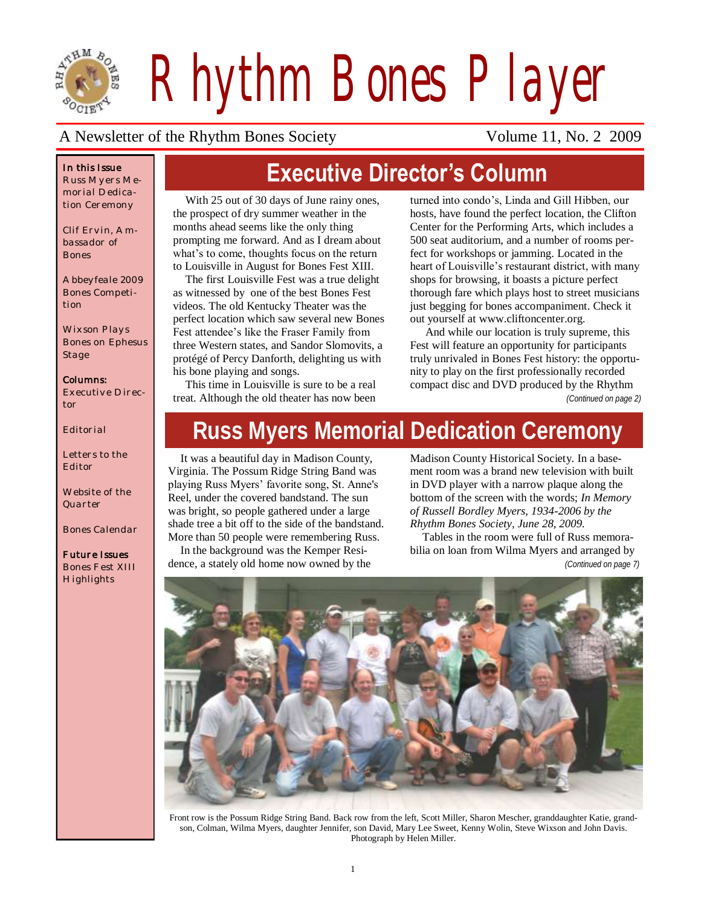

*Rhythm Bones Player*

#### A Newsletter of the Rhythm Bones Society Volume 11, No. 2 2009

#### *In this Issue*

*Russ Myers Memorial Dedication Ceremony*

*Clif Ervin, Ambassador of Bones*

*Abbeyfeale 2009 Bones Competition*

*Wixson Plays Bones on Ephesus Stage*

#### *Columns: Executive Direc-*

*tor*

*Editorial*

*Letters to the Editor*

*Website of the Quarter*

*Bones Calendar*

#### *Future Issues Bones Fest XIII*

*Highlights*

# **Executive Director's Column**

With 25 out of 30 days of June rainy ones, the prospect of dry summer weather in the months ahead seems like the only thing prompting me forward. And as I dream about what's to come, thoughts focus on the return to Louisville in August for Bones Fest XIII.

The first Louisville Fest was a true delight as witnessed by one of the best Bones Fest videos. The old Kentucky Theater was the perfect location which saw several new Bones Fest attendee"s like the Fraser Family from three Western states, and Sandor Slomovits, a protégé of Percy Danforth, delighting us with his bone playing and songs.

This time in Louisville is sure to be a real treat. Although the old theater has now been

turned into condo"s, Linda and Gill Hibben, our hosts, have found the perfect location, the Clifton Center for the Performing Arts, which includes a 500 seat auditorium, and a number of rooms perfect for workshops or jamming. Located in the heart of Louisville's restaurant district, with many shops for browsing, it boasts a picture perfect thorough fare which plays host to street musicians just begging for bones accompaniment. Check it out yourself at [www.cliftoncenter.org](http://www.cliftoncenter.org/)*.*

And while our location is truly supreme, this Fest will feature an opportunity for participants truly unrivaled in Bones Fest history: the opportunity to play on the first professionally recorded compact disc and DVD produced by the Rhythm *(Continued on page 2)*

# **Russ Myers Memorial Dedication Ceremony**

It was a beautiful day in Madison County, Virginia. The Possum Ridge String Band was playing Russ Myers" favorite song, St. Anne's Reel, under the covered bandstand. The sun was bright, so people gathered under a large shade tree a bit off to the side of the bandstand. More than 50 people were remembering Russ.

In the background was the Kemper Residence, a stately old home now owned by the Madison County Historical Society. In a basement room was a brand new television with built in DVD player with a narrow plaque along the bottom of the screen with the words; *In Memory of Russell Bordley Myers, 1934-2006 by the Rhythm Bones Society, June 28, 2009.* 

Tables in the room were full of Russ memorabilia on loan from Wilma Myers and arranged by

*(Continued on page 7)*



Front row is the Possum Ridge String Band. Back row from the left, Scott Miller, Sharon Mescher, granddaughter Katie, grandson, Colman, Wilma Myers, daughter Jennifer, son David, Mary Lee Sweet, Kenny Wolin, Steve Wixson and John Davis. Photograph by Helen Miller.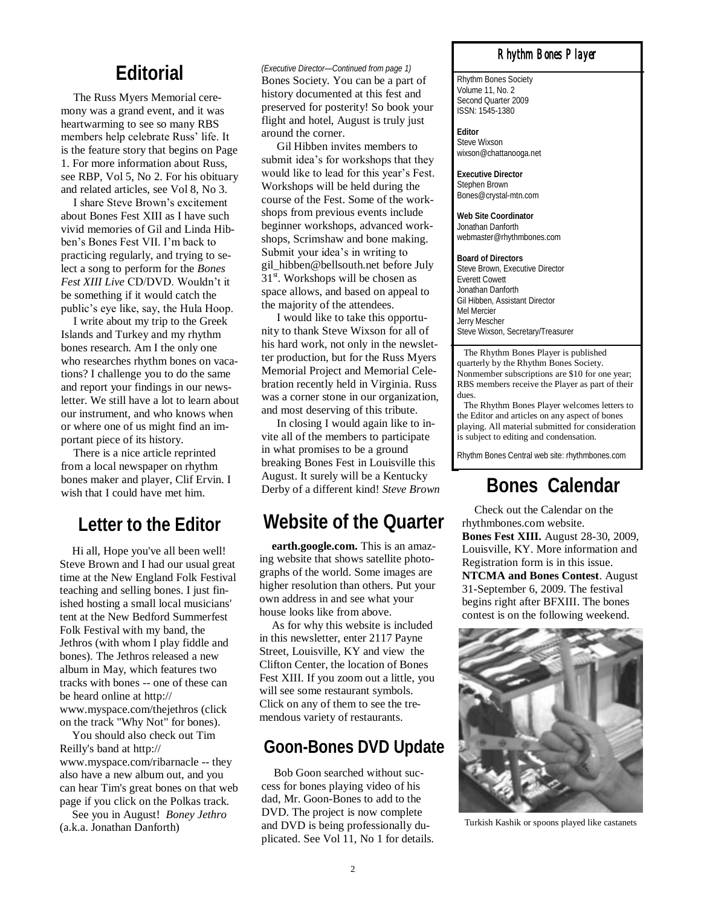## **Editorial**

The Russ Myers Memorial ceremony was a grand event, and it was heartwarming to see so many RBS members help celebrate Russ' life. It is the feature story that begins on Page 1. For more information about Russ, see RBP, Vol 5, No 2. For his obituary and related articles, see Vol 8, No 3.

I share Steve Brown"s excitement about Bones Fest XIII as I have such vivid memories of Gil and Linda Hibben"s Bones Fest VII. I"m back to practicing regularly, and trying to select a song to perform for the *Bones Fest XIII Live* CD/DVD. Wouldn"t it be something if it would catch the public"s eye like, say, the Hula Hoop.

I write about my trip to the Greek Islands and Turkey and my rhythm bones research. Am I the only one who researches rhythm bones on vacations? I challenge you to do the same and report your findings in our newsletter. We still have a lot to learn about our instrument, and who knows when or where one of us might find an important piece of its history.

There is a nice article reprinted from a local newspaper on rhythm bones maker and player, Clif Ervin. I wish that I could have met him.

## **Letter to the Editor**

Hi all, Hope you've all been well! Steve Brown and I had our usual great time at the New England Folk Festival teaching and selling bones. I just finished hosting a small local musicians' tent at the New Bedford Summerfest Folk Festival with my band, the Jethros (with whom I play fiddle and bones). The Jethros released a new album in May, which features two tracks with bones -- one of these can be heard online at http:// www.myspace.com/thejethros (click on the track "Why Not" for bones).

You should also check out Tim Reilly's band at http:// www.myspace.com/ribarnacle -- they also have a new album out, and you can hear Tim's great bones on that web page if you click on the Polkas track.

See you in August! *Boney Jethro*  (a.k.a. Jonathan Danforth)

#### *(Executive Director—Continued from page 1)*

Bones Society. You can be a part of history documented at this fest and preserved for posterity! So book your flight and hotel, August is truly just around the corner.

Gil Hibben invites members to submit idea's for workshops that they would like to lead for this year"s Fest. Workshops will be held during the course of the Fest. Some of the workshops from previous events include beginner workshops, advanced workshops, Scrimshaw and bone making. Submit your idea"s in writing to gil\_hibben@bellsouth.net before July 31<sup>st</sup>. Workshops will be chosen as space allows, and based on appeal to the majority of the attendees.

I would like to take this opportunity to thank Steve Wixson for all of his hard work, not only in the newsletter production, but for the Russ Myers Memorial Project and Memorial Celebration recently held in Virginia. Russ was a corner stone in our organization, and most deserving of this tribute.

In closing I would again like to invite all of the members to participate in what promises to be a ground breaking Bones Fest in Louisville this August. It surely will be a Kentucky Derby of a different kind! *Steve Brown*

## **Website of the Quarter**

**earth.google.com.** This is an amazing website that shows satellite photographs of the world. Some images are higher resolution than others. Put your own address in and see what your house looks like from above.

As for why this website is included in this newsletter, enter 2117 Payne Street, Louisville, KY and view the Clifton Center, the location of Bones Fest XIII. If you zoom out a little, you will see some restaurant symbols. Click on any of them to see the tremendous variety of restaurants.

### **Goon-Bones DVD Update**

Bob Goon searched without success for bones playing video of his dad, Mr. Goon-Bones to add to the DVD. The project is now complete and DVD is being professionally duplicated. See Vol 11, No 1 for details.

#### *Rhythm Bones Player*

Rhythm Bones Society Volume 11, No. 2 Second Quarter 2009 ISSN: 1545-1380

**Editor** Steve Wixson wixson@chattanooga.net

**Executive Director** Stephen Brown Bones@crystal-mtn.com

**Web Site Coordinator** Jonathan Danforth webmaster@rhythmbones.com

**Board of Directors** Steve Brown, Executive Director Everett Cowett Jonathan Danforth Gil Hibben, Assistant Director Mel Mercier Jerry Mescher Steve Wixson, Secretary/Treasurer

 The Rhythm Bones Player is published quarterly by the Rhythm Bones Society. Nonmember subscriptions are \$10 for one year; RBS members receive the Player as part of their dues.

 The Rhythm Bones Player welcomes letters to the Editor and articles on any aspect of bones playing. All material submitted for consideration is subject to editing and condensation.

Rhythm Bones Central web site: rhythmbones.com

## **Bones Calendar**

Check out the Calendar on the rhythmbones.com website. **Bones Fest XIII.** August 28-30, 2009, Louisville, KY. More information and Registration form is in this issue. **NTCMA and Bones Contest**. August 31-September 6, 2009. The festival begins right after BFXIII. The bones contest is on the following weekend.



Turkish Kashik or spoons played like castanets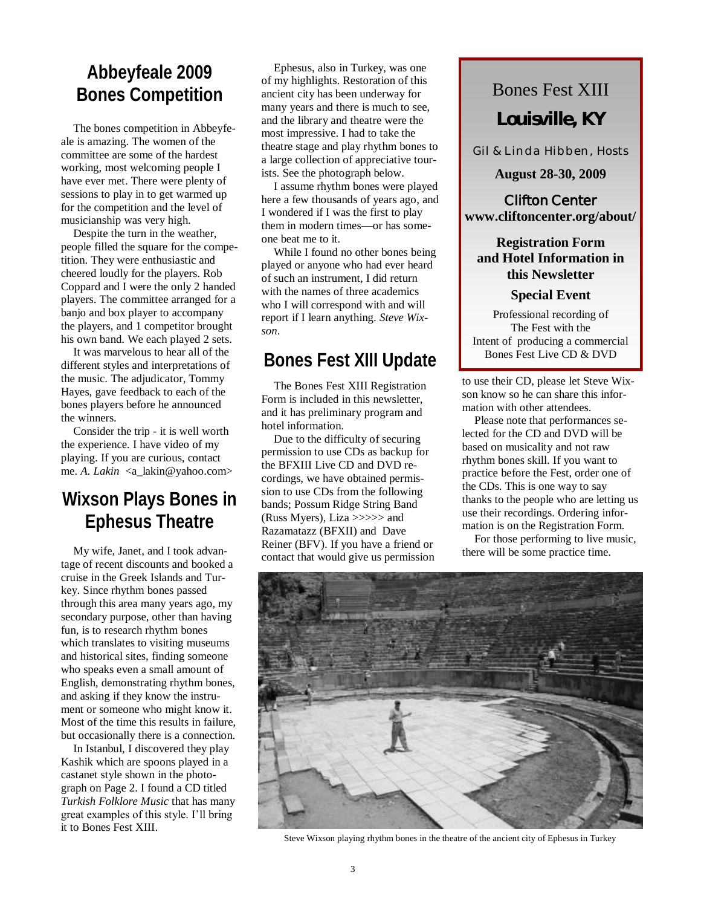## **Abbeyfeale 2009 Bones Competition**

The bones competition in Abbeyfeale is amazing. The women of the committee are some of the hardest working, most welcoming people I have ever met. There were plenty of sessions to play in to get warmed up for the competition and the level of musicianship was very high.

Despite the turn in the weather, people filled the square for the competition. They were enthusiastic and cheered loudly for the players. Rob Coppard and I were the only 2 handed players. The committee arranged for a banjo and box player to accompany the players, and 1 competitor brought his own band. We each played 2 sets.

It was marvelous to hear all of the different styles and interpretations of the music. The adjudicator, Tommy Hayes, gave feedback to each of the bones players before he announced the winners.

Consider the trip - it is well worth the experience. I have video of my playing. If you are curious, contact me. *A. Lakin* <a\_lakin@yahoo.com>

## **Wixson Plays Bones in Ephesus Theatre**

My wife, Janet, and I took advantage of recent discounts and booked a cruise in the Greek Islands and Turkey. Since rhythm bones passed through this area many years ago, my secondary purpose, other than having fun, is to research rhythm bones which translates to visiting museums and historical sites, finding someone who speaks even a small amount of English, demonstrating rhythm bones, and asking if they know the instrument or someone who might know it. Most of the time this results in failure, but occasionally there is a connection.

In Istanbul, I discovered they play Kashik which are spoons played in a castanet style shown in the photograph on Page 2. I found a CD titled *Turkish Folklore Music* that has many great examples of this style. I"ll bring it to Bones Fest XIII.

Ephesus, also in Turkey, was one of my highlights. Restoration of this ancient city has been underway for many years and there is much to see, and the library and theatre were the most impressive. I had to take the theatre stage and play rhythm bones to a large collection of appreciative tourists. See the photograph below.

I assume rhythm bones were played here a few thousands of years ago, and I wondered if I was the first to play them in modern times—or has someone beat me to it.

While I found no other bones being played or anyone who had ever heard of such an instrument, I did return with the names of three academics who I will correspond with and will report if I learn anything. *Steve Wixson*.

## **Bones Fest XIII Update**

The Bones Fest XIII Registration Form is included in this newsletter, and it has preliminary program and hotel information.

Due to the difficulty of securing permission to use CDs as backup for the BFXIII Live CD and DVD recordings, we have obtained permission to use CDs from the following bands; Possum Ridge String Band (Russ Myers), Liza >>>>> and Razamatazz (BFXII) and Dave Reiner (BFV). If you have a friend or contact that would give us permission

# Bones Fest XIII **Louisville, KY**

Gil & Linda Hibben, Hosts

#### **August 28-30, 2009**

**Clifton Center www.cliftoncenter.org/about/**

#### **Registration Form and Hotel Information in this Newsletter**

#### **Special Event**

Professional recording of The Fest with the Intent of producing a commercial Bones Fest Live CD & DVD

to use their CD, please let Steve Wixson know so he can share this information with other attendees.

Please note that performances selected for the CD and DVD will be based on musicality and not raw rhythm bones skill. If you want to practice before the Fest, order one of the CDs. This is one way to say thanks to the people who are letting us use their recordings. Ordering information is on the Registration Form.

For those performing to live music, there will be some practice time.



Steve Wixson playing rhythm bones in the theatre of the ancient city of Ephesus in Turkey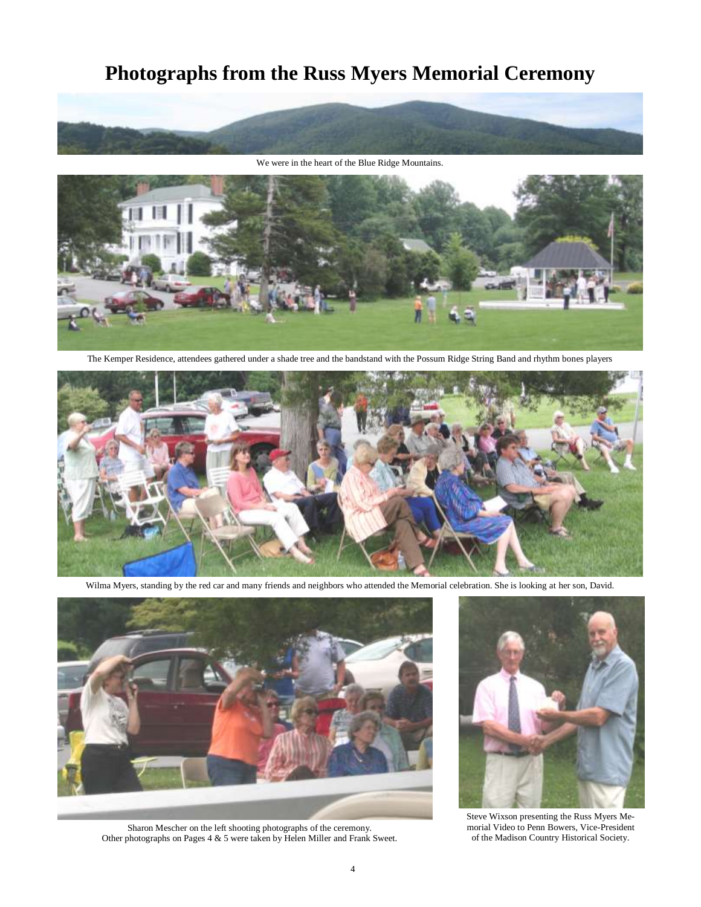## **Photographs from the Russ Myers Memorial Ceremony**



We were in the heart of the Blue Ridge Mountains.



The Kemper Residence, attendees gathered under a shade tree and the bandstand with the Possum Ridge String Band and rhythm bones players



Wilma Myers, standing by the red car and many friends and neighbors who attended the Memorial celebration. She is looking at her son, David.



Sharon Mescher on the left shooting photographs of the ceremony. Other photographs on Pages 4 & 5 were taken by Helen Miller and Frank Sweet.



Steve Wixson presenting the Russ Myers Memorial Video to Penn Bowers, Vice-President of the Madison Country Historical Society.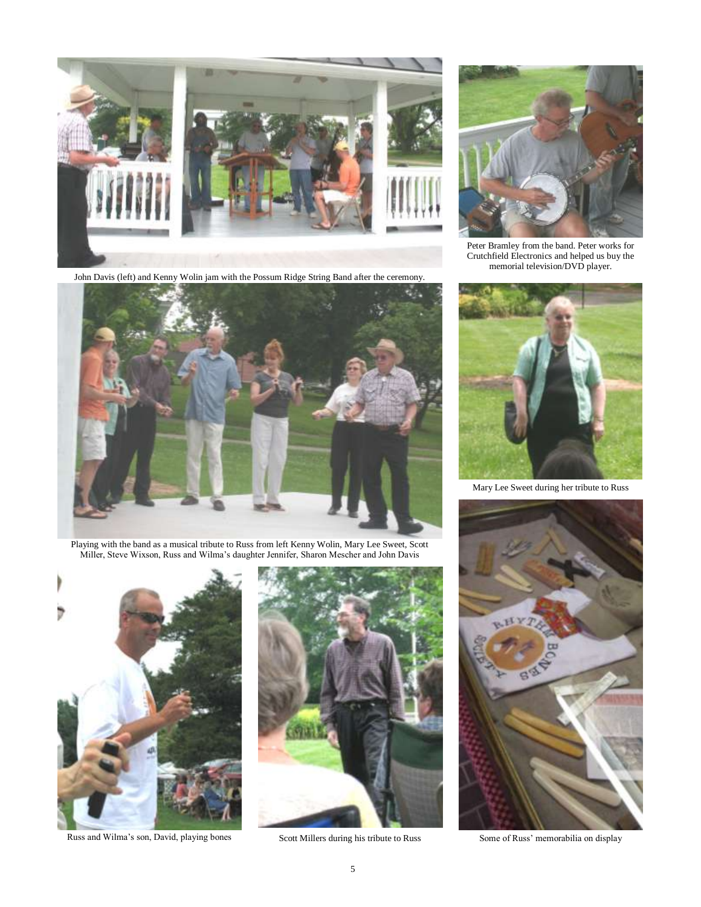

John Davis (left) and Kenny Wolin jam with the Possum Ridge String Band after the ceremony.



Playing with the band as a musical tribute to Russ from left Kenny Wolin, Mary Lee Sweet, Scott Miller, Steve Wixson, Russ and Wilma"s daughter Jennifer, Sharon Mescher and John Davis



Russ and Wilma's son, David, playing bones Scott Millers during his tribute to Russ Some of Russ' memorabilia on display





Peter Bramley from the band. Peter works for Crutchfield Electronics and helped us buy the memorial television/DVD player.



Mary Lee Sweet during her tribute to Russ

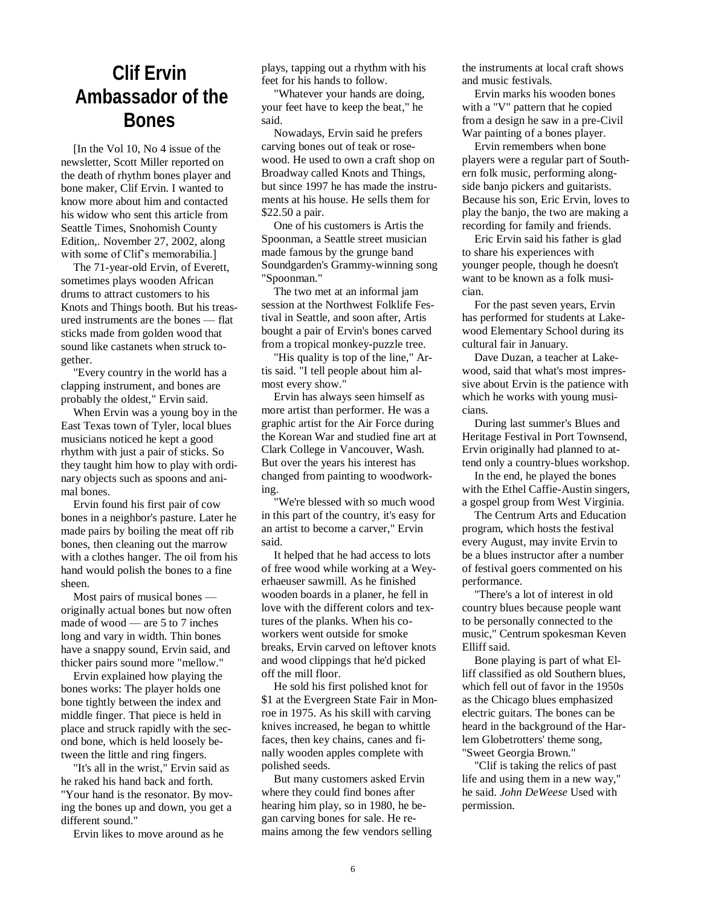## **Clif Ervin Ambassador of the Bones**

[In the Vol 10, No 4 issue of the newsletter, Scott Miller reported on the death of rhythm bones player and bone maker, Clif Ervin. I wanted to know more about him and contacted his widow who sent this article from Seattle Times, Snohomish County Edition,. November 27, 2002, along with some of Clif's memorabilia.]

The 71-year-old Ervin, of Everett, sometimes plays wooden African drums to attract customers to his Knots and Things booth. But his treasured instruments are the bones — flat sticks made from golden wood that sound like castanets when struck together.

"Every country in the world has a clapping instrument, and bones are probably the oldest," Ervin said.

When Ervin was a young boy in the East Texas town of Tyler, local blues musicians noticed he kept a good rhythm with just a pair of sticks. So they taught him how to play with ordinary objects such as spoons and animal bones.

Ervin found his first pair of cow bones in a neighbor's pasture. Later he made pairs by boiling the meat off rib bones, then cleaning out the marrow with a clothes hanger. The oil from his hand would polish the bones to a fine sheen.

Most pairs of musical bones originally actual bones but now often made of wood — are 5 to 7 inches long and vary in width. Thin bones have a snappy sound, Ervin said, and thicker pairs sound more "mellow."

Ervin explained how playing the bones works: The player holds one bone tightly between the index and middle finger. That piece is held in place and struck rapidly with the second bone, which is held loosely between the little and ring fingers.

"It's all in the wrist," Ervin said as he raked his hand back and forth. "Your hand is the resonator. By moving the bones up and down, you get a different sound."

Ervin likes to move around as he

plays, tapping out a rhythm with his feet for his hands to follow.

"Whatever your hands are doing, your feet have to keep the beat," he said.

Nowadays, Ervin said he prefers carving bones out of teak or rosewood. He used to own a craft shop on Broadway called Knots and Things, but since 1997 he has made the instruments at his house. He sells them for \$22.50 a pair.

One of his customers is Artis the Spoonman, a Seattle street musician made famous by the grunge band Soundgarden's Grammy-winning song "Spoonman."

The two met at an informal jam session at the Northwest Folklife Festival in Seattle, and soon after, Artis bought a pair of Ervin's bones carved from a tropical monkey-puzzle tree.

"His quality is top of the line," Artis said. "I tell people about him almost every show."

Ervin has always seen himself as more artist than performer. He was a graphic artist for the Air Force during the Korean War and studied fine art at Clark College in Vancouver, Wash. But over the years his interest has changed from painting to woodworking.

"We're blessed with so much wood in this part of the country, it's easy for an artist to become a carver," Ervin said.

It helped that he had access to lots of free wood while working at a Weyerhaeuser sawmill. As he finished wooden boards in a planer, he fell in love with the different colors and textures of the planks. When his coworkers went outside for smoke breaks, Ervin carved on leftover knots and wood clippings that he'd picked off the mill floor.

He sold his first polished knot for \$1 at the Evergreen State Fair in Monroe in 1975. As his skill with carving knives increased, he began to whittle faces, then key chains, canes and finally wooden apples complete with polished seeds.

But many customers asked Ervin where they could find bones after hearing him play, so in 1980, he began carving bones for sale. He remains among the few vendors selling the instruments at local craft shows and music festivals.

Ervin marks his wooden bones with a "V" pattern that he copied from a design he saw in a pre-Civil War painting of a bones player.

Ervin remembers when bone players were a regular part of Southern folk music, performing alongside banjo pickers and guitarists. Because his son, Eric Ervin, loves to play the banjo, the two are making a recording for family and friends.

Eric Ervin said his father is glad to share his experiences with younger people, though he doesn't want to be known as a folk musician.

For the past seven years, Ervin has performed for students at Lakewood Elementary School during its cultural fair in January.

Dave Duzan, a teacher at Lakewood, said that what's most impressive about Ervin is the patience with which he works with young musicians.

During last summer's Blues and Heritage Festival in Port Townsend, Ervin originally had planned to attend only a country-blues workshop.

In the end, he played the bones with the Ethel Caffie-Austin singers, a gospel group from West Virginia.

The Centrum Arts and Education program, which hosts the festival every August, may invite Ervin to be a blues instructor after a number of festival goers commented on his performance.

"There's a lot of interest in old country blues because people want to be personally connected to the music," Centrum spokesman Keven Elliff said.

Bone playing is part of what Elliff classified as old Southern blues, which fell out of favor in the 1950s as the Chicago blues emphasized electric guitars. The bones can be heard in the background of the Harlem Globetrotters' theme song, "Sweet Georgia Brown."

"Clif is taking the relics of past life and using them in a new way," he said. *John DeWeese* Used with permission.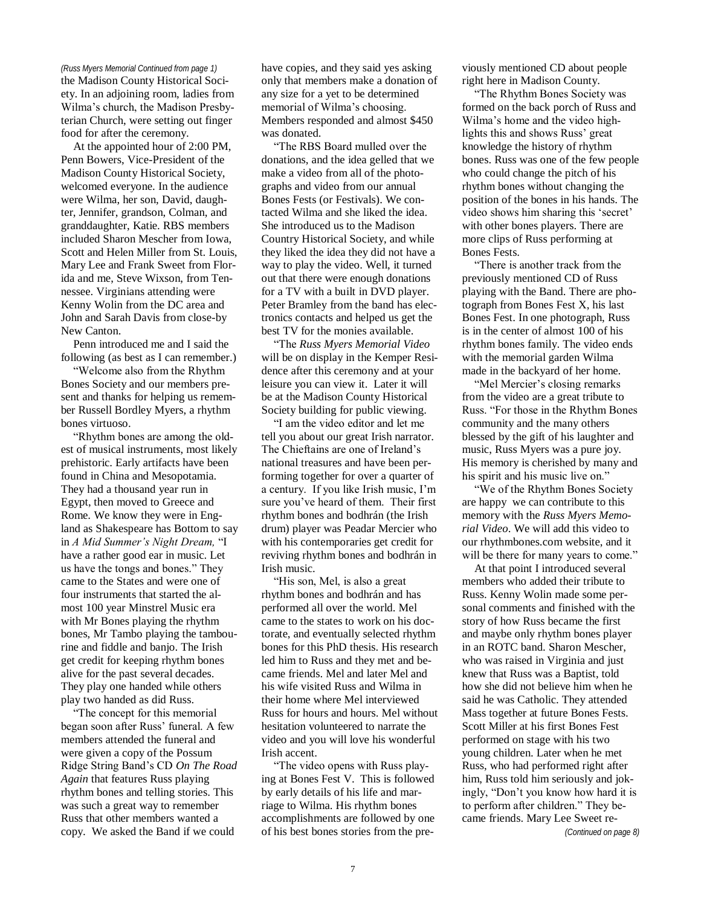the Madison County Historical Society. In an adjoining room, ladies from Wilma"s church, the Madison Presbyterian Church, were setting out finger food for after the ceremony.

At the appointed hour of 2:00 PM, Penn Bowers, Vice-President of the Madison County Historical Society, welcomed everyone. In the audience were Wilma, her son, David, daughter, Jennifer, grandson, Colman, and granddaughter, Katie. RBS members included Sharon Mescher from Iowa, Scott and Helen Miller from St. Louis, Mary Lee and Frank Sweet from Florida and me, Steve Wixson, from Tennessee. Virginians attending were Kenny Wolin from the DC area and John and Sarah Davis from close-by New Canton.

Penn introduced me and I said the following (as best as I can remember.)

"Welcome also from the Rhythm Bones Society and our members present and thanks for helping us remember Russell Bordley Myers, a rhythm bones virtuoso.

"Rhythm bones are among the oldest of musical instruments, most likely prehistoric. Early artifacts have been found in China and Mesopotamia. They had a thousand year run in Egypt, then moved to Greece and Rome. We know they were in England as Shakespeare has Bottom to say in *A Mid Summer's Night Dream,* "I have a rather good ear in music. Let us have the tongs and bones." They came to the States and were one of four instruments that started the almost 100 year Minstrel Music era with Mr Bones playing the rhythm bones, Mr Tambo playing the tambourine and fiddle and banjo. The Irish get credit for keeping rhythm bones alive for the past several decades. They play one handed while others play two handed as did Russ.

"The concept for this memorial began soon after Russ' funeral. A few members attended the funeral and were given a copy of the Possum Ridge String Band"s CD *On The Road Again* that features Russ playing rhythm bones and telling stories. This was such a great way to remember Russ that other members wanted a copy. We asked the Band if we could

*(Russ Myers Memorial Continued from page 1)* have copies, and they said yes asking only that members make a donation of any size for a yet to be determined memorial of Wilma"s choosing. Members responded and almost \$450 was donated.

> "The RBS Board mulled over the donations, and the idea gelled that we make a video from all of the photographs and video from our annual Bones Fests (or Festivals). We contacted Wilma and she liked the idea. She introduced us to the Madison Country Historical Society, and while they liked the idea they did not have a way to play the video. Well, it turned out that there were enough donations for a TV with a built in DVD player. Peter Bramley from the band has electronics contacts and helped us get the best TV for the monies available.

> "The *Russ Myers Memorial Video*  will be on display in the Kemper Residence after this ceremony and at your leisure you can view it. Later it will be at the Madison County Historical Society building for public viewing.

> "I am the video editor and let me tell you about our great Irish narrator. The Chieftains are one of Ireland"s national treasures and have been performing together for over a quarter of a century. If you like Irish music, I"m sure you"ve heard of them. Their first rhythm bones and bodhrán (the Irish drum) player was Peadar Mercier who with his contemporaries get credit for reviving rhythm bones and bodhrán in Irish music.

> "His son, Mel, is also a great rhythm bones and bodhrán and has performed all over the world. Mel came to the states to work on his doctorate, and eventually selected rhythm bones for this PhD thesis. His research led him to Russ and they met and became friends. Mel and later Mel and his wife visited Russ and Wilma in their home where Mel interviewed Russ for hours and hours. Mel without hesitation volunteered to narrate the video and you will love his wonderful Irish accent.

"The video opens with Russ playing at Bones Fest V. This is followed by early details of his life and marriage to Wilma. His rhythm bones accomplishments are followed by one of his best bones stories from the previously mentioned CD about people right here in Madison County.

"The Rhythm Bones Society was formed on the back porch of Russ and Wilma"s home and the video highlights this and shows Russ' great knowledge the history of rhythm bones. Russ was one of the few people who could change the pitch of his rhythm bones without changing the position of the bones in his hands. The video shows him sharing this "secret" with other bones players. There are more clips of Russ performing at Bones Fests.

"There is another track from the previously mentioned CD of Russ playing with the Band. There are photograph from Bones Fest X, his last Bones Fest. In one photograph, Russ is in the center of almost 100 of his rhythm bones family. The video ends with the memorial garden Wilma made in the backyard of her home.

"Mel Mercier"s closing remarks from the video are a great tribute to Russ. "For those in the Rhythm Bones community and the many others blessed by the gift of his laughter and music, Russ Myers was a pure joy. His memory is cherished by many and his spirit and his music live on."

"We of the Rhythm Bones Society are happy we can contribute to this memory with the *Russ Myers Memorial Video*. We will add this video to our rhythmbones.com website, and it will be there for many years to come."

At that point I introduced several members who added their tribute to Russ. Kenny Wolin made some personal comments and finished with the story of how Russ became the first and maybe only rhythm bones player in an ROTC band. Sharon Mescher, who was raised in Virginia and just knew that Russ was a Baptist, told how she did not believe him when he said he was Catholic. They attended Mass together at future Bones Fests. Scott Miller at his first Bones Fest performed on stage with his two young children. Later when he met Russ, who had performed right after him, Russ told him seriously and jokingly, "Don"t you know how hard it is to perform after children." They became friends. Mary Lee Sweet re-

*(Continued on page 8)*